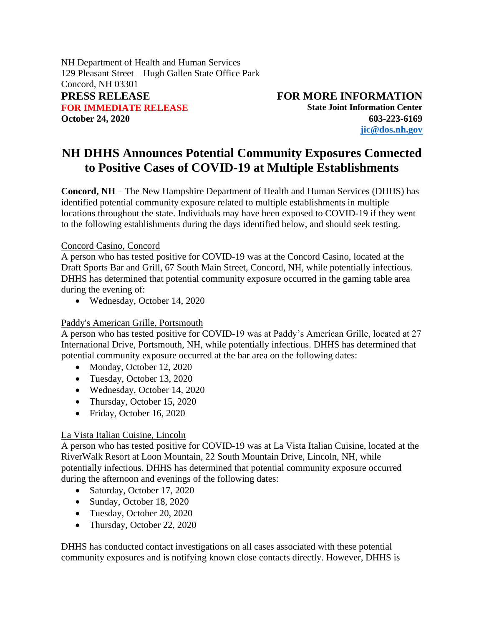NH Department of Health and Human Services 129 Pleasant Street – Hugh Gallen State Office Park Concord, NH 03301 **PRESS RELEASE FOR MORE INFORMATION FOR IMMEDIATE RELEASE State Joint Information Center** 

**October 24, 2020 603-223-6169 [jic@dos.nh.gov](mailto:jic@dos.nh.gov)**

## **NH DHHS Announces Potential Community Exposures Connected to Positive Cases of COVID-19 at Multiple Establishments**

**Concord, NH** – The New Hampshire Department of Health and Human Services (DHHS) has identified potential community exposure related to multiple establishments in multiple locations throughout the state. Individuals may have been exposed to COVID-19 if they went to the following establishments during the days identified below, and should seek testing.

## Concord Casino, Concord

A person who has tested positive for COVID-19 was at the Concord Casino, located at the Draft Sports Bar and Grill, 67 South Main Street, Concord, NH, while potentially infectious. DHHS has determined that potential community exposure occurred in the gaming table area during the evening of:

• Wednesday, October 14, 2020

## Paddy's American Grille, Portsmouth

A person who has tested positive for COVID-19 was at Paddy's American Grille, located at 27 International Drive, Portsmouth, NH, while potentially infectious. DHHS has determined that potential community exposure occurred at the bar area on the following dates:

- Monday, October 12, 2020
- Tuesday, October 13, 2020
- Wednesday, October 14, 2020
- Thursday, October 15, 2020
- Friday, October 16, 2020

## La Vista Italian Cuisine, Lincoln

A person who has tested positive for COVID-19 was at La Vista Italian Cuisine, located at the RiverWalk Resort at Loon Mountain, 22 South Mountain Drive, Lincoln, NH, while potentially infectious. DHHS has determined that potential community exposure occurred during the afternoon and evenings of the following dates:

- Saturday, October 17, 2020
- Sunday, October 18, 2020
- Tuesday, October 20, 2020
- Thursday, October 22, 2020

DHHS has conducted contact investigations on all cases associated with these potential community exposures and is notifying known close contacts directly. However, DHHS is